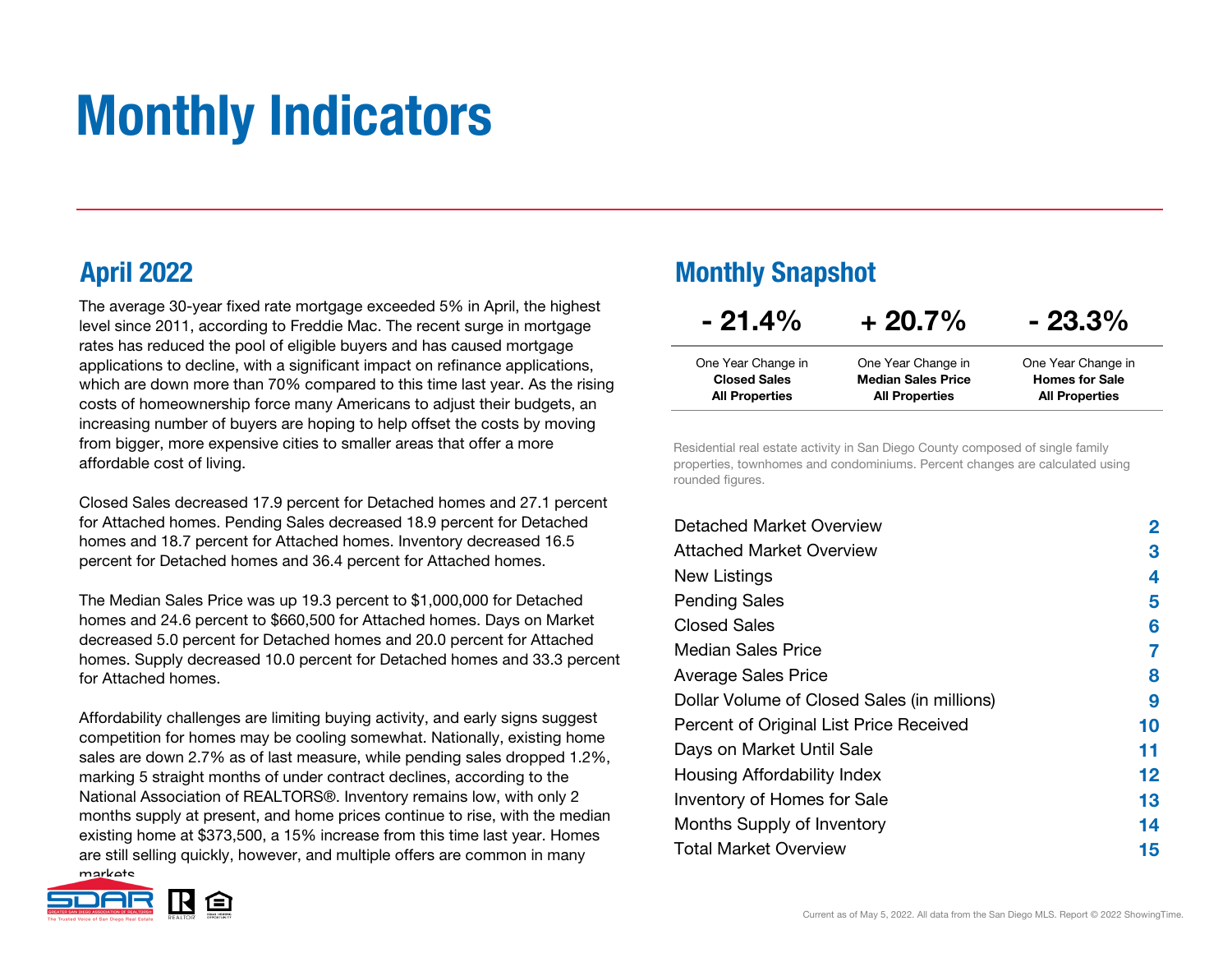# Monthly Indicators

 The average 30-year fixed rate mortgage exceeded 5% in April, the highest level since 2011, according to Freddie Mac. The recent surge in mortgage rates has reduced the pool of eligible buyers and has caused mortgage applications to decline, with a significant impact on refinance applications, which are down more than 70% compared to this time last year. As the rising costs of homeownership force many Americans to adjust their budgets, an increasing number of buyers are hoping to help offset the costs by moving from bigger, more expensive cities to smaller areas that offer a more affordable cost of living.

Closed Sales decreased 17.9 percent for Detached homes and 27.1 percent for Attached homes. Pending Sales decreased 18.9 percent for Detached homes and 18.7 percent for Attached homes. Inventory decreased 16.5 percent for Detached homes and 36.4 percent for Attached homes.

The Median Sales Price was up 19.3 percent to \$1,000,000 for Detached homes and 24.6 percent to \$660,500 for Attached homes. Days on Market decreased 5.0 percent for Detached homes and 20.0 percent for Attached homes. Supply decreased 10.0 percent for Detached homes and 33.3 percent for Attached homes.

Affordability challenges are limiting buying activity, and early signs suggest competition for homes may be cooling somewhat. Nationally, existing home sales are down 2.7% as of last measure, while pending sales dropped 1.2%, marking 5 straight months of under contract declines, according to the National Association of REALTORS®. Inventory remains low, with only 2 months supply at present, and home prices continue to rise, with the median existing home at \$373,500, a 15% increase from this time last year. Homes are still selling quickly, however, and multiple offers are common in many markate



#### April 2022 Monthly Snapshot

| $-21.4\%$             | $+20.7\%$                 | $-23.3%$              |
|-----------------------|---------------------------|-----------------------|
| One Year Change in    | One Year Change in        | One Year Change in    |
| <b>Closed Sales</b>   | <b>Median Sales Price</b> | <b>Homes for Sale</b> |
| <b>All Properties</b> | <b>All Properties</b>     | <b>All Properties</b> |

Residential real estate activity in San Diego County composed of single family properties, townhomes and condominiums. Percent changes are calculated using rounded figures.

| Detached Market Overview                    | 2  |
|---------------------------------------------|----|
| Attached Market Overview                    | З  |
| New Listings                                | 4  |
| <b>Pending Sales</b>                        | 5  |
| Closed Sales                                | 6  |
| Median Sales Price                          | 7  |
| <b>Average Sales Price</b>                  | 8  |
| Dollar Volume of Closed Sales (in millions) | 9  |
| Percent of Original List Price Received     | 10 |
| Days on Market Until Sale                   | 11 |
| Housing Affordability Index                 | 12 |
| Inventory of Homes for Sale                 | 13 |
| Months Supply of Inventory                  | 14 |
| <b>Total Market Overview</b>                | 15 |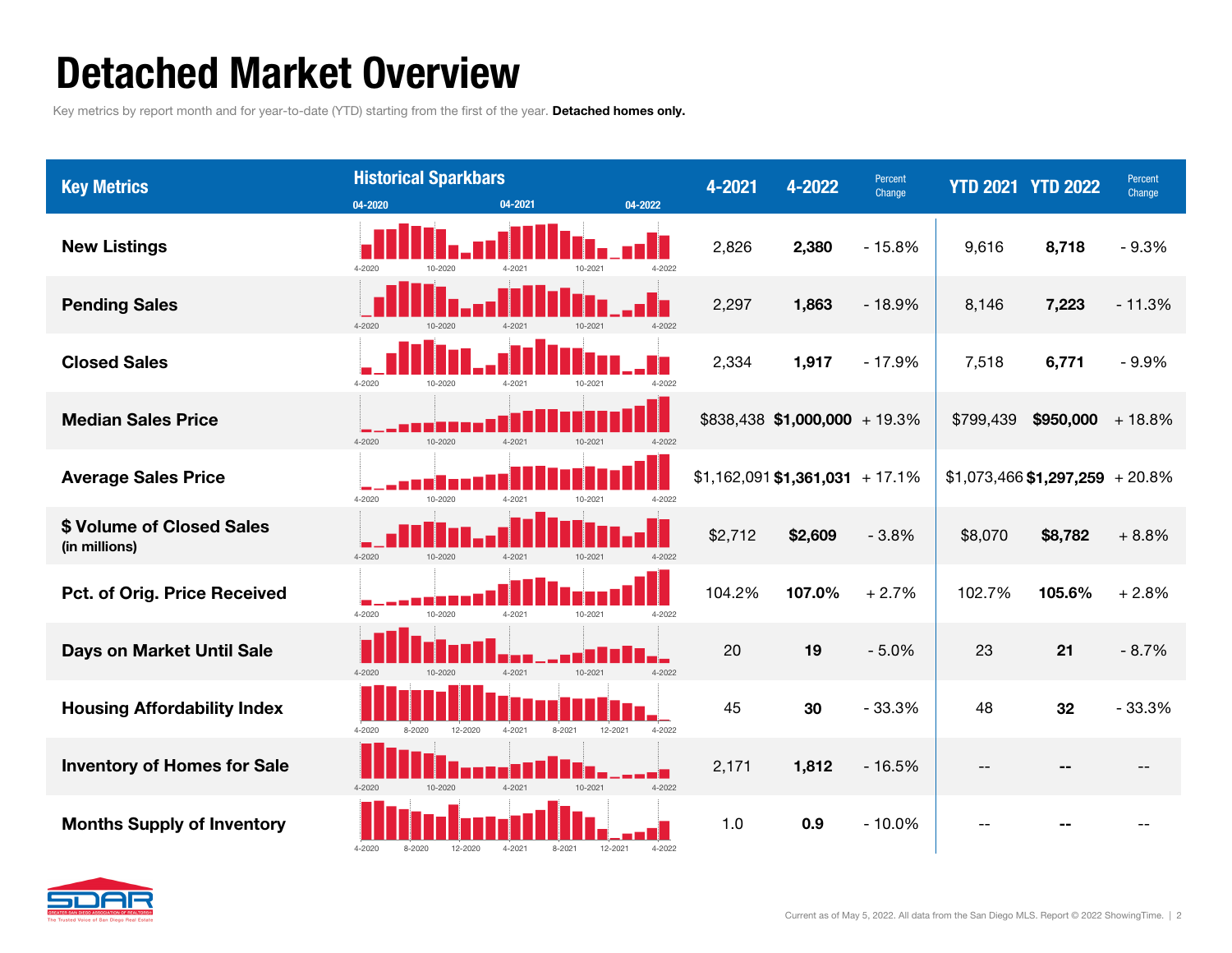### Detached Market Overview

Key metrics by report month and for year-to-date (YTD) starting from the first of the year. Detached homes only.



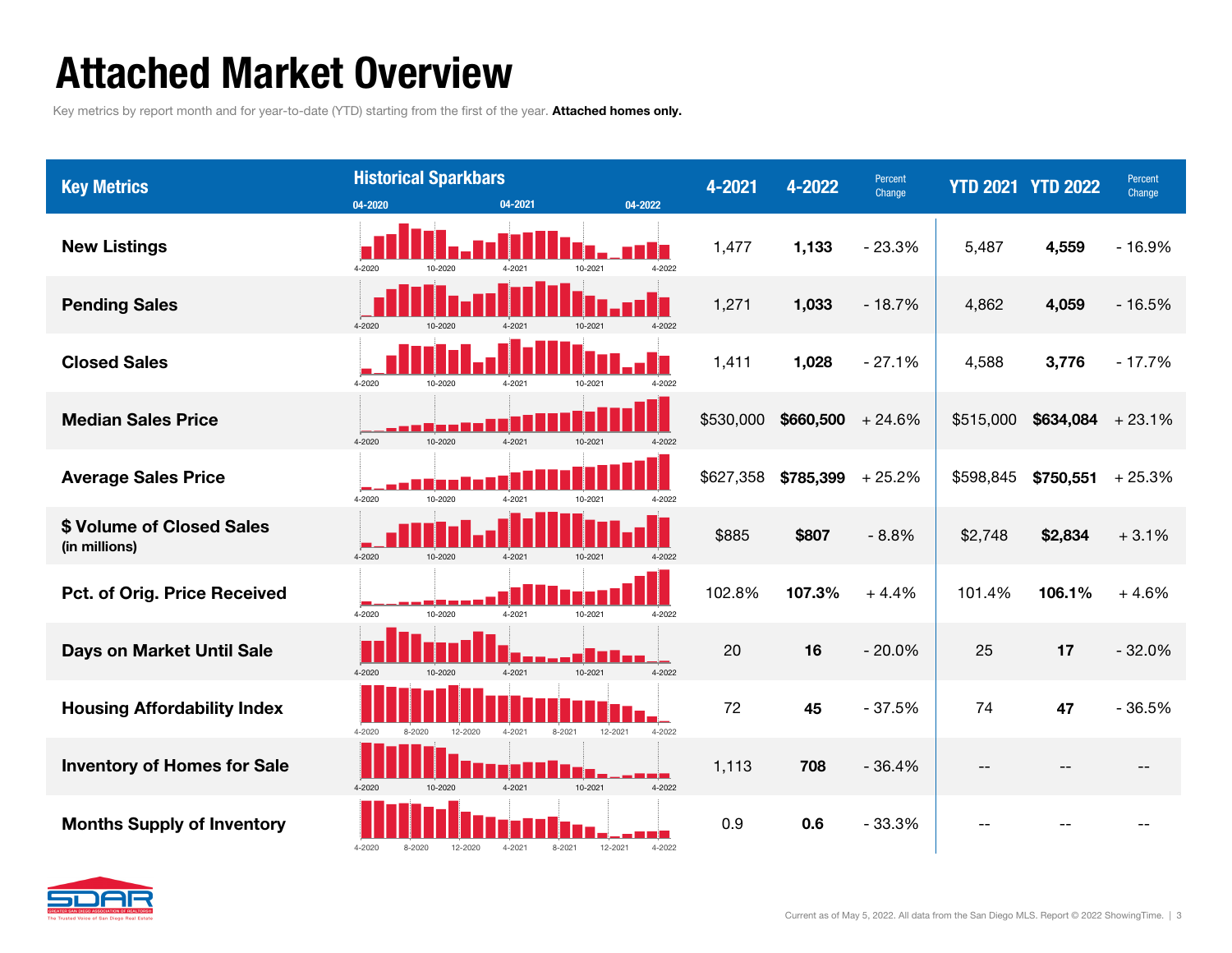### Attached Market Overview

Key metrics by report month and for year-to-date (YTD) starting from the first of the year. Attached homes only.



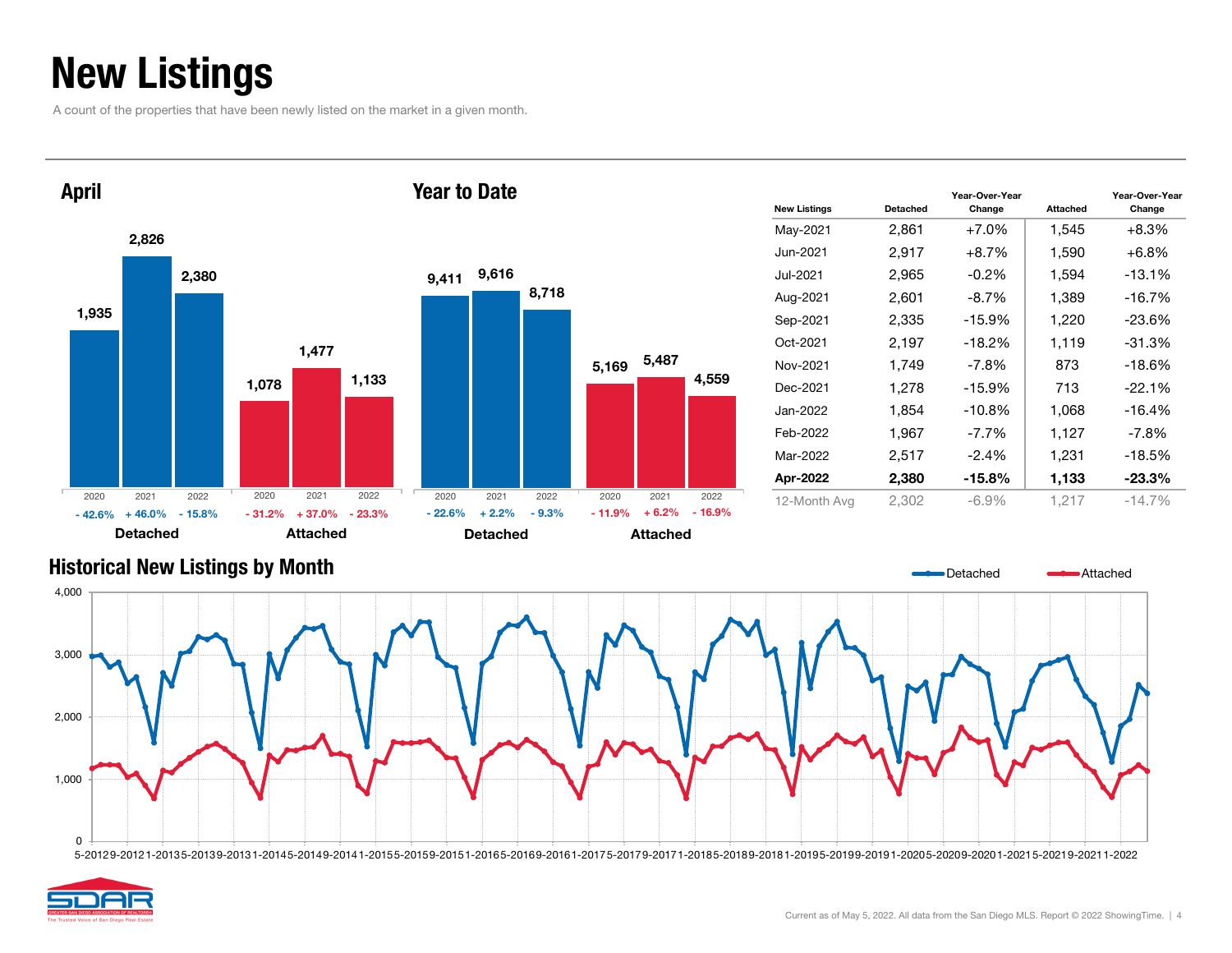### New Listings

A count of the properties that have been newly listed on the market in a given month.



| <b>New Listings</b> | Detached | Year-Over-Year<br>Change | <b>Attached</b> | Year-Over-Year<br>Change |
|---------------------|----------|--------------------------|-----------------|--------------------------|
| May-2021            | 2,861    | $+7.0%$                  | 1,545           | $+8.3\%$                 |
| Jun-2021            | 2,917    | $+8.7%$                  | 1,590           | $+6.8%$                  |
| Jul-2021            | 2.965    | $-0.2\%$                 | 1,594           | $-13.1\%$                |
| Aug-2021            | 2,601    | $-8.7\%$                 | 1,389           | $-16.7%$                 |
| Sep-2021            | 2,335    | $-15.9%$                 | 1,220           | $-23.6\%$                |
| Oct-2021            | 2,197    | $-18.2%$                 | 1,119           | $-31.3%$                 |
| Nov-2021            | 1,749    | $-7.8\%$                 | 873             | $-18.6%$                 |
| Dec-2021            | 1.278    | $-15.9%$                 | 713             | $-22.1%$                 |
| Jan-2022            | 1,854    | $-10.8%$                 | 1,068           | $-16.4%$                 |
| Feb-2022            | 1,967    | $-7.7\%$                 | 1,127           | $-7.8%$                  |
| Mar-2022            | 2,517    | $-2.4%$                  | 1,231           | $-18.5%$                 |
| Apr-2022            | 2,380    | $-15.8\%$                | 1,133           | $-23.3%$                 |
| 12-Month Avg        | 2.302    | -6.9%                    | 1,217           | $-14.7\%$                |

Detached

Attached

## 2,000 3,000 4,000



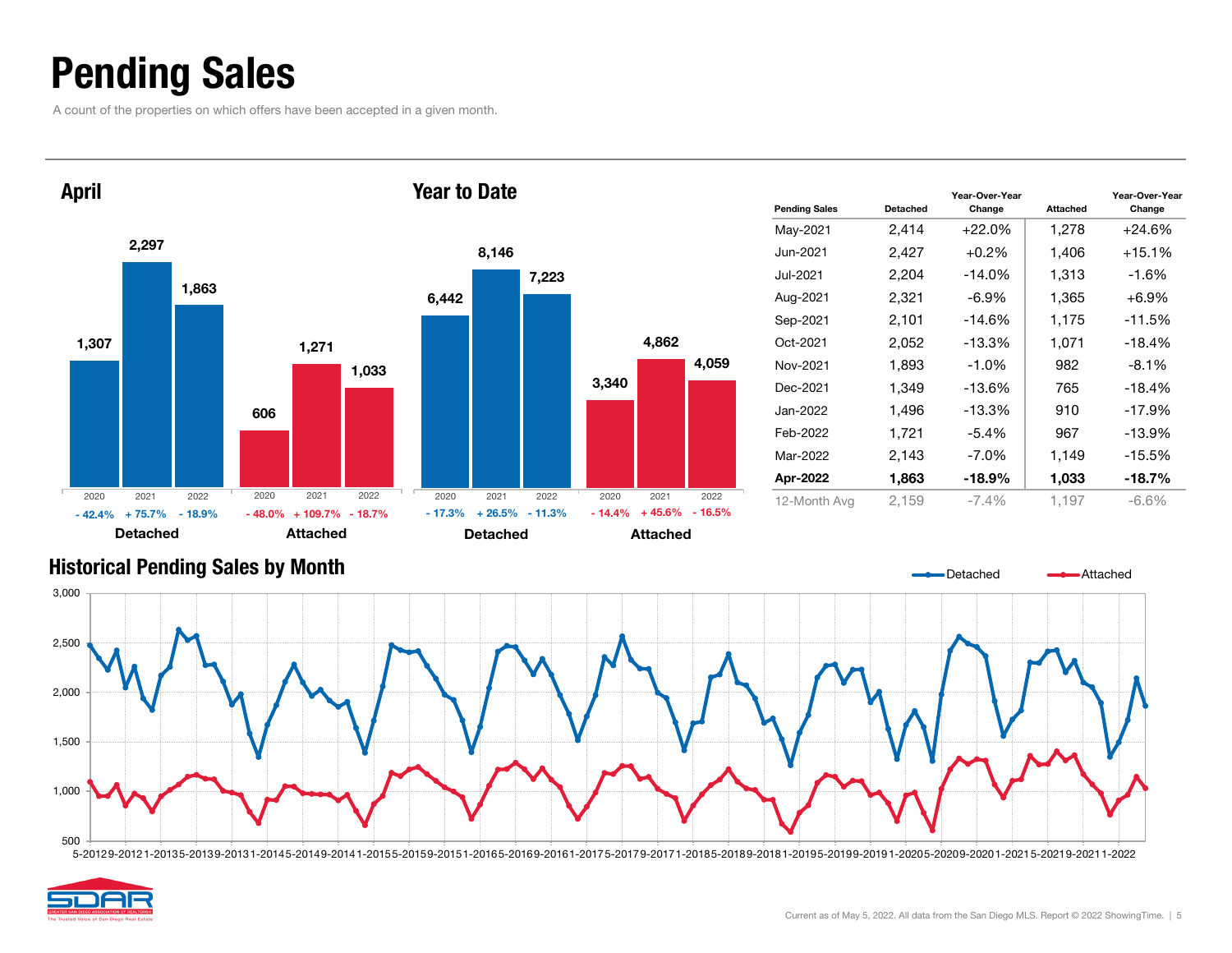### Pending Sales

A count of the properties on which offers have been accepted in a given month.



| <b>Pending Sales</b> | Detached | Year-Over-Year<br>Change | <b>Attached</b> | Year-Over-Year<br>Change |
|----------------------|----------|--------------------------|-----------------|--------------------------|
| May-2021             | 2,414    | $+22.0%$                 | 1,278           | $+24.6%$                 |
| Jun-2021             | 2,427    | $+0.2\%$                 | 1,406           | $+15.1\%$                |
| Jul-2021             | 2,204    | $-14.0\%$                | 1,313           | -1.6%                    |
| Aug-2021             | 2,321    | $-6.9\%$                 | 1,365           | $+6.9%$                  |
| Sep-2021             | 2,101    | $-14.6\%$                | 1,175           | $-11.5%$                 |
| Oct-2021             | 2,052    | $-13.3%$                 | 1,071           | $-18.4%$                 |
| Nov-2021             | 1,893    | $-1.0\%$                 | 982             | $-8.1%$                  |
| Dec-2021             | 1,349    | -13.6%                   | 765             | $-18.4%$                 |
| Jan-2022             | 1,496    | $-13.3%$                 | 910             | $-17.9%$                 |
| Feb-2022             | 1,721    | -5.4%                    | 967             | $-13.9%$                 |
| Mar-2022             | 2,143    | $-7.0\%$                 | 1,149           | $-15.5%$                 |
| Apr-2022             | 1,863    | $-18.9%$                 | 1,033           | $-18.7\%$                |
| 12-Month Avg         | 2.159    | $-7.4\%$                 | 1,197           | $-6.6%$                  |



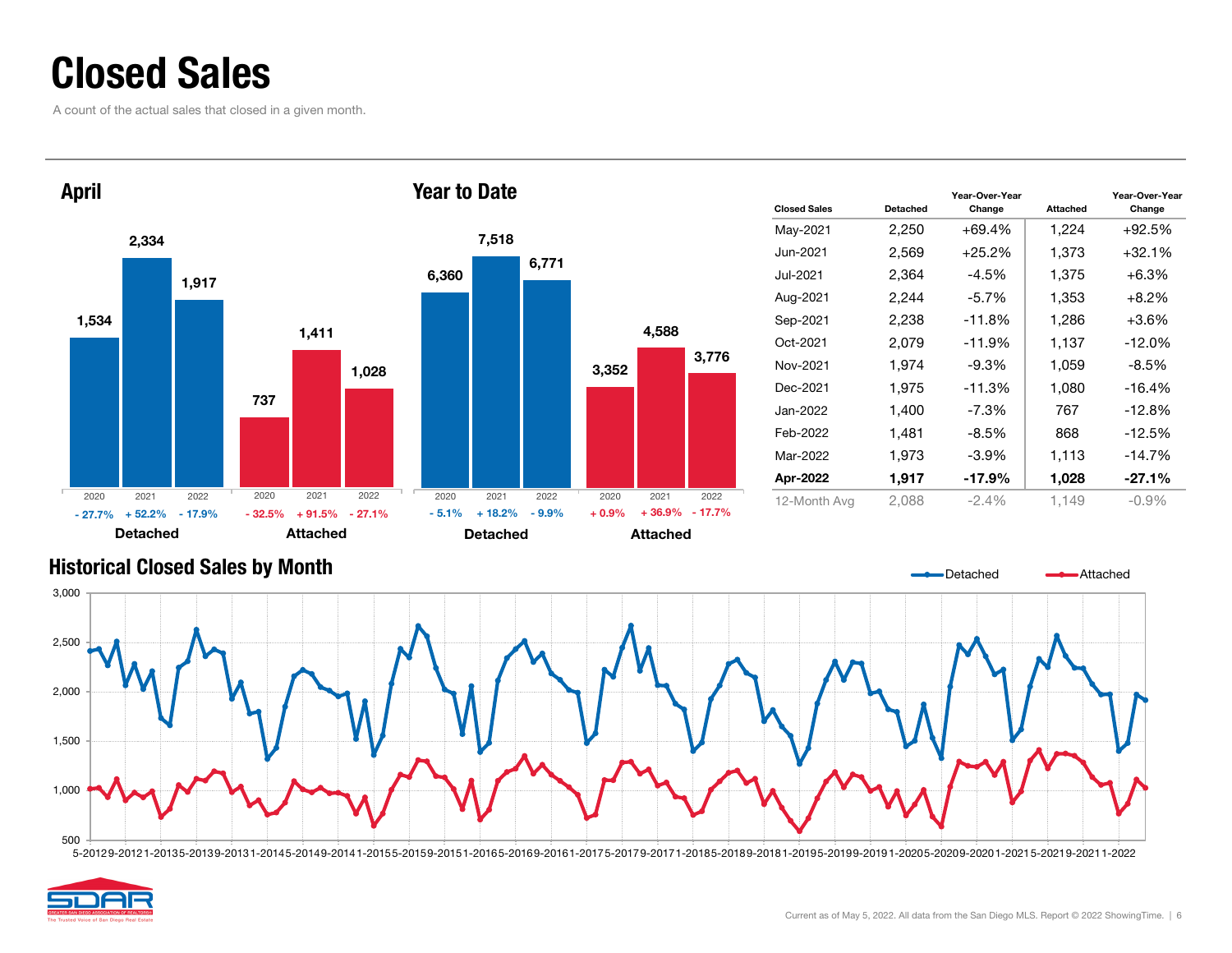### Closed Sales

A count of the actual sales that closed in a given month.



| <b>Closed Sales</b> | Detached | Year-Over-Year<br>Change | <b>Attached</b> | Year-Over-Year<br>Change |
|---------------------|----------|--------------------------|-----------------|--------------------------|
| May-2021            | 2,250    | $+69.4%$                 | 1,224           | +92.5%                   |
| Jun-2021            | 2,569    | $+25.2%$                 | 1,373           | $+32.1%$                 |
| Jul-2021            | 2.364    | $-4.5\%$                 | 1.375           | $+6.3\%$                 |
| Aug-2021            | 2,244    | $-5.7%$                  | 1,353           | $+8.2%$                  |
| Sep-2021            | 2,238    | $-11.8%$                 | 1,286           | $+3.6\%$                 |
| Oct-2021            | 2,079    | $-11.9%$                 | 1,137           | $-12.0%$                 |
| Nov-2021            | 1,974    | $-9.3%$                  | 1,059           | $-8.5%$                  |
| Dec-2021            | 1.975    | $-11.3%$                 | 1.080           | $-16.4%$                 |
| Jan-2022            | 1,400    | -7.3%                    | 767             | $-12.8%$                 |
| Feb-2022            | 1,481    | $-8.5\%$                 | 868             | $-12.5%$                 |
| Mar-2022            | 1,973    | $-3.9\%$                 | 1,113           | $-14.7%$                 |
| Apr-2022            | 1,917    | $-17.9%$                 | 1,028           | $-27.1%$                 |
| 12-Month Avg        | 2.088    | $-2.4\%$                 | 1,149           | $-0.9\%$                 |

### Historical Closed Sales by Month 500 1,000 1,500 2,000 2,500 3,000 DetachedAttached

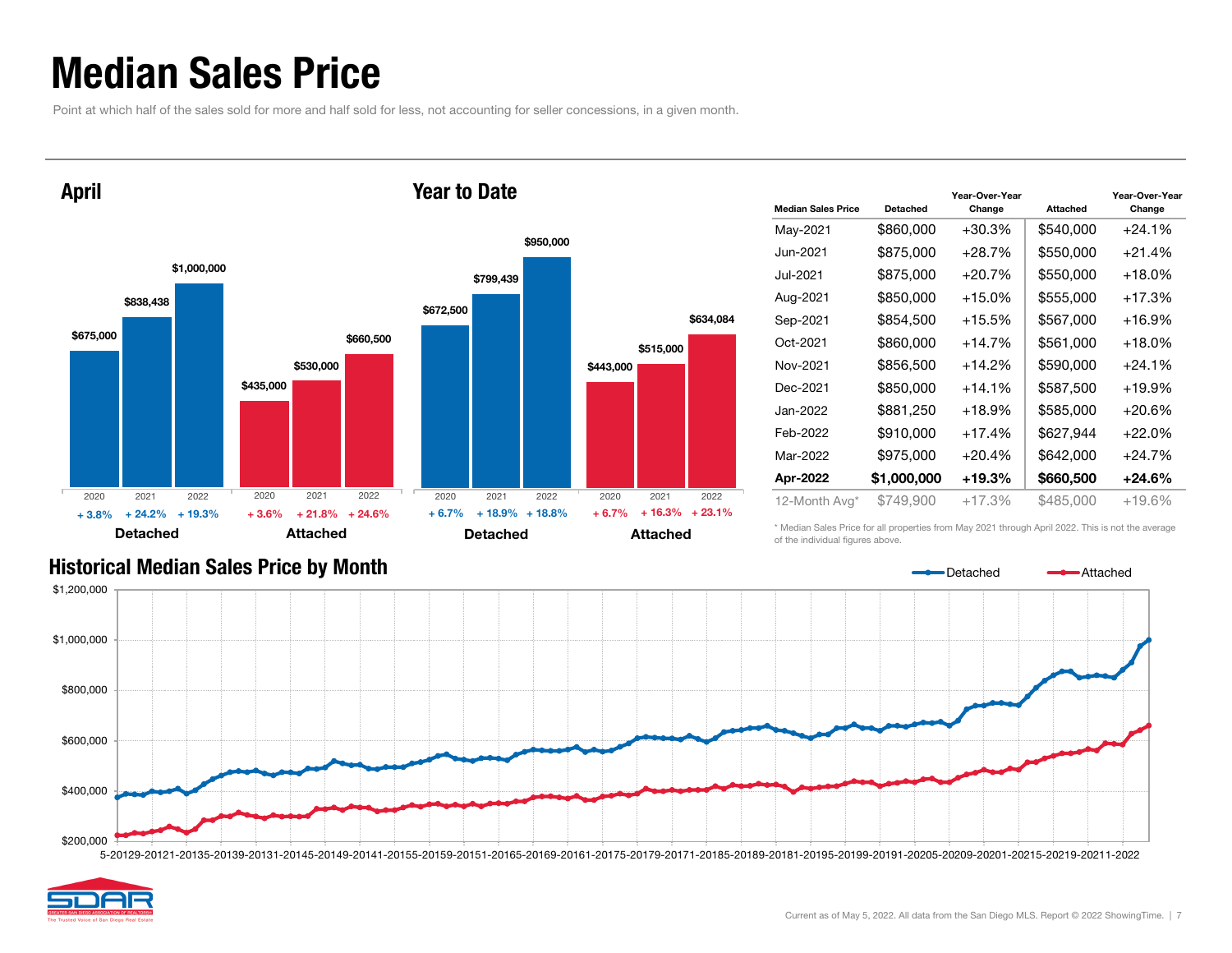### Median Sales Price

Point at which half of the sales sold for more and half sold for less, not accounting for seller concessions, in a given month.



| <b>Median Sales Price</b> | Detached    | Year-Over-Year<br>Change | <b>Attached</b> | Year-Over-Year<br>Change |
|---------------------------|-------------|--------------------------|-----------------|--------------------------|
| May-2021                  | \$860,000   | $+30.3%$                 | \$540,000       | $+24.1%$                 |
| Jun-2021.                 | \$875,000   | $+28.7%$                 | \$550,000       | $+21.4%$                 |
| Jul-2021                  | \$875.000   | +20.7%                   | \$550,000       | $+18.0\%$                |
| Aug-2021                  | \$850,000   | $+15.0%$                 | \$555,000       | $+17.3%$                 |
| Sep-2021                  | \$854,500   | +15.5%                   | \$567,000       | +16.9%                   |
| Oct-2021                  | \$860,000   | $+14.7%$                 | \$561,000       | $+18.0%$                 |
| Nov-2021                  | \$856,500   | $+14.2%$                 | \$590,000       | $+24.1%$                 |
| Dec-2021                  | \$850,000   | +14.1%                   | \$587,500       | $+19.9%$                 |
| Jan-2022                  | \$881,250   | $+18.9%$                 | \$585,000       | $+20.6%$                 |
| Feb-2022                  | \$910,000   | $+17.4%$                 | \$627,944       | $+22.0%$                 |
| Mar-2022                  | \$975,000   | $+20.4%$                 | \$642.000       | $+24.7%$                 |
| Apr-2022                  | \$1,000,000 | +19.3%                   | \$660,500       | $+24.6%$                 |
| 12-Month Avg*             | \$749,900   | $+17.3%$                 | \$485,000       | $+19.6%$                 |

#### Historical Median Sales Price by Month

\* Median Sales Price for all properties from May 2021 through April 2022. This is not the average of the individual figures above.

Detached



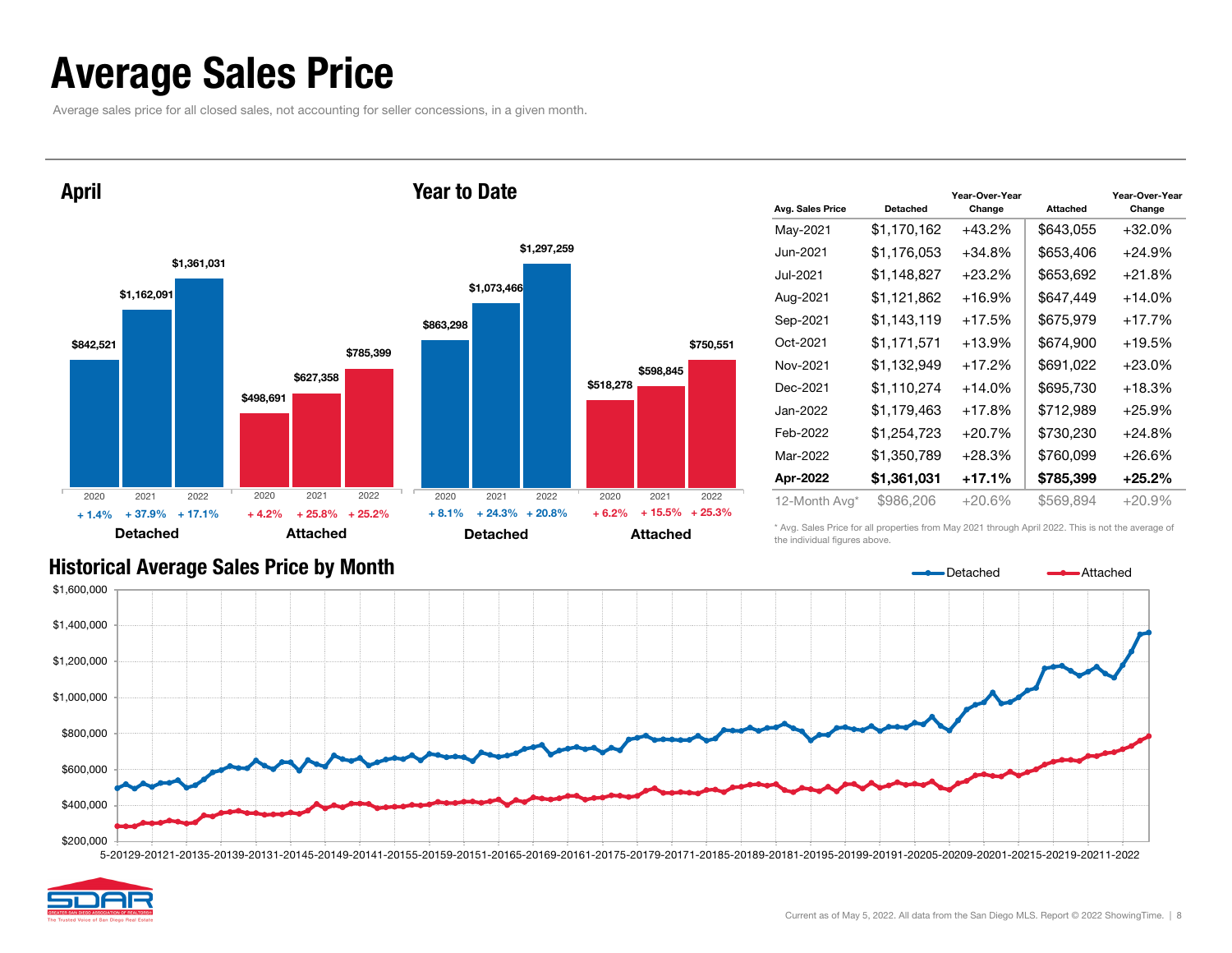### Average Sales Price

Average sales price for all closed sales, not accounting for seller concessions, in a given month.



| Avg. Sales Price | <b>Detached</b> | Year-Over-Year<br>Change | <b>Attached</b> | Year-Over-Year<br>Change |
|------------------|-----------------|--------------------------|-----------------|--------------------------|
| May-2021         | \$1,170,162     | $+43.2%$                 | \$643,055       | $+32.0%$                 |
| Jun-2021         | \$1,176,053     | $+34.8%$                 | \$653,406       | +24.9%                   |
| Jul-2021         | \$1,148,827     | $+23.2%$                 | \$653,692       | $+21.8%$                 |
| Aug-2021         | \$1,121,862     | $+16.9%$                 | \$647,449       | $+14.0%$                 |
| Sep-2021         | \$1,143,119     | +17.5%                   | \$675,979       | $+17.7\%$                |
| Oct-2021         | \$1,171,571     | $+13.9%$                 | \$674,900       | $+19.5%$                 |
| Nov-2021         | \$1,132,949     | $+17.2%$                 | \$691,022       | $+23.0%$                 |
| Dec-2021         | \$1,110,274     | $+14.0%$                 | \$695,730       | $+18.3\%$                |
| Jan-2022         | \$1,179,463     | $+17.8%$                 | \$712,989       | $+25.9%$                 |
| Feb-2022         | \$1,254,723     | $+20.7%$                 | \$730,230       | $+24.8%$                 |
| Mar-2022         | \$1,350,789     | $+28.3%$                 | \$760,099       | +26.6%                   |
| Apr-2022         | \$1,361,031     | +17.1%                   | \$785,399       | +25.2%                   |
| 12-Month Avg*    | \$986,206       | $+20.6\%$                | \$569,894       | +20.9%                   |

#### Historical Average Sales Price by Month

\* Avg. Sales Price for all properties from May 2021 through April 2022. This is not the average of the individual figures above.



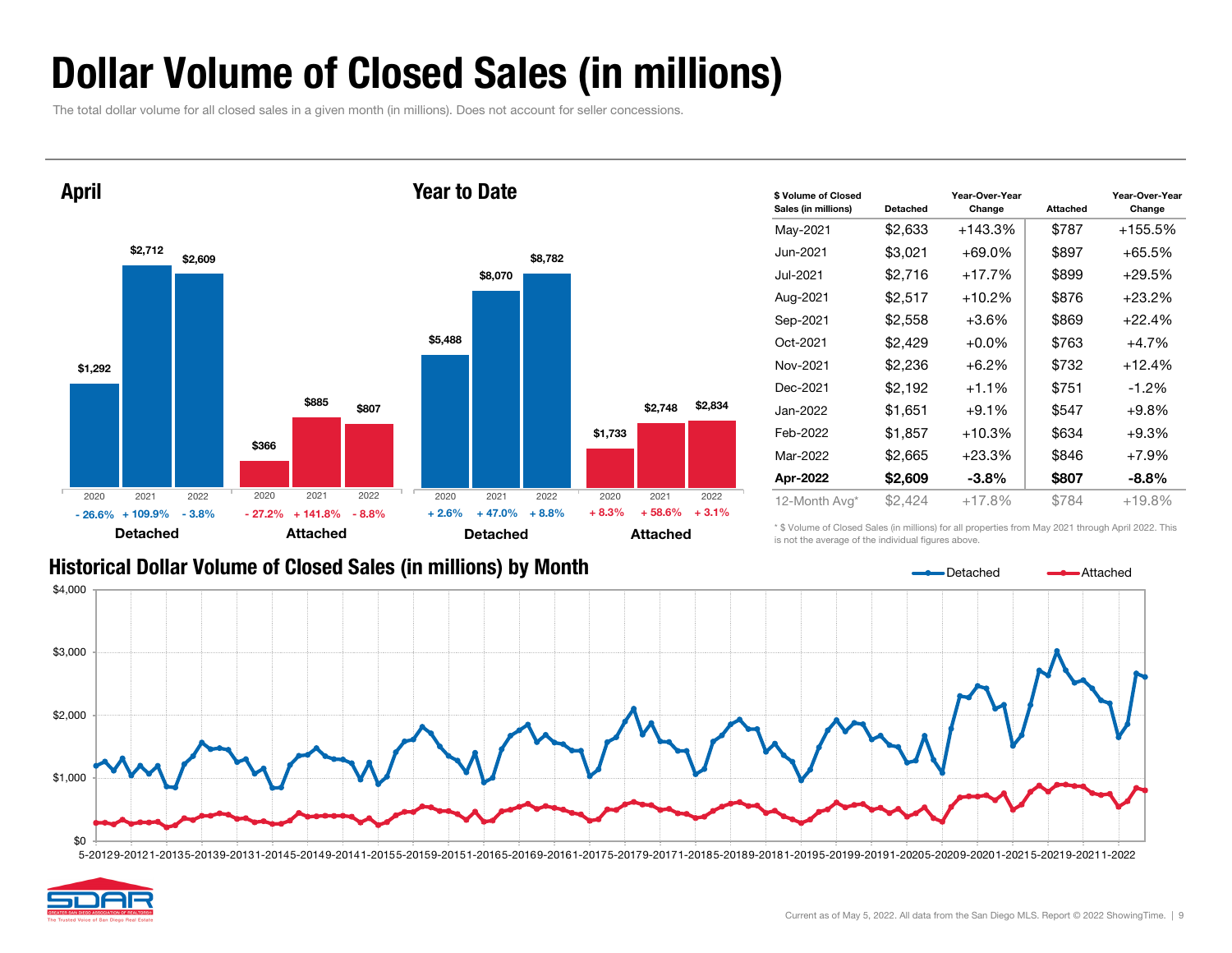### Dollar Volume of Closed Sales (in millions)

The total dollar volume for all closed sales in a given month (in millions). Does not account for seller concessions.



| \$ Volume of Closed<br>Sales (in millions) | Detached | Year-Over-Year<br>Change | <b>Attached</b> | Year-Over-Year<br>Change |
|--------------------------------------------|----------|--------------------------|-----------------|--------------------------|
| May-2021                                   | \$2,633  | +143.3%                  | \$787           | +155.5%                  |
| Jun-2021                                   | \$3,021  | $+69.0%$                 | \$897           | +65.5%                   |
| Jul-2021                                   | \$2,716  | $+17.7%$                 | \$899           | +29.5%                   |
| Aug-2021                                   | \$2,517  | $+10.2%$                 | \$876           | $+23.2%$                 |
| Sep-2021                                   | \$2,558  | $+3.6\%$                 | \$869           | +22.4%                   |
| Oct-2021                                   | \$2,429  | $+0.0\%$                 | \$763           | $+4.7%$                  |
| Nov-2021                                   | \$2,236  | $+6.2%$                  | \$732           | $+12.4%$                 |
| Dec-2021                                   | \$2,192  | $+1.1%$                  | \$751           | $-1.2\%$                 |
| Jan-2022                                   | \$1,651  | $+9.1%$                  | \$547           | $+9.8%$                  |
| Feb-2022                                   | \$1,857  | $+10.3%$                 | \$634           | $+9.3%$                  |
| Mar-2022                                   | \$2,665  | $+23.3%$                 | \$846           | $+7.9%$                  |
| Apr-2022                                   | \$2,609  | $-3.8\%$                 | \$807           | $-8.8%$                  |
| 12-Month Avg*                              | \$2,424  | $+17.8%$                 | \$784           | +19.8%                   |

#### Historical Dollar Volume of Closed Sales (in millions) by Month

\* \$ Volume of Closed Sales (in millions) for all properties from May 2021 through April 2022. This is not the average of the individual figures above.

Detached



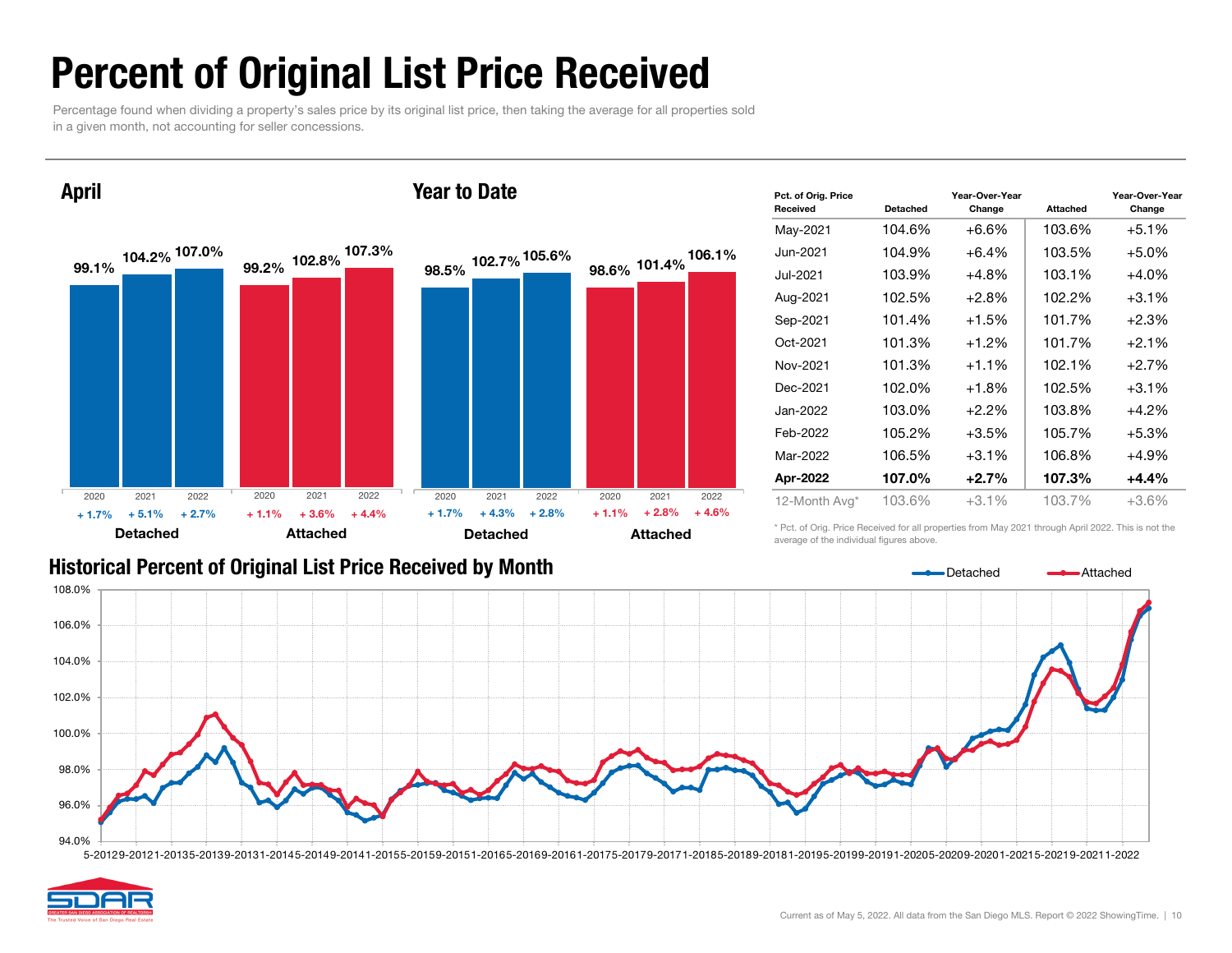### Percent of Original List Price Received

Percentage found when dividing a property's sales price by its original list price, then taking the average for all properties sold in a given month, not accounting for seller concessions.

99.1% $\%$  104.2%  $\frac{107.076}{99.2\%}$  $\%$  107.0%  $\qquad$   $\qquad$  00.0% 102.8% <sup>107.3%</sup> Detached AttachedApril 98.5% 102.7% 105.6% 98.6% 102.7% 101.4% 105.6% 106.1% Detached **Attached** Year to Date2020 2021 2022 $+ 5.1%$  $\%$  + 2.7% + 1.1% + 3.6% + 4.4% + 1.7% + 4.3% + 2.8% + 1.1% + 2.8% + 4.6% 2020 2021 2022 2020 2021 2022 2020 2021 2022  $+ 1.7%$  $\%$  + 5.1% + 2.7% + 1.1% + 3.6% + 4.4% + 1.7% + 4.3% + 2.8% + 1.1%

| <b>Historical Percent of Original List Price Received by Month</b> |  |  |
|--------------------------------------------------------------------|--|--|
|--------------------------------------------------------------------|--|--|

| Received      | <b>Detached</b> | Change  | <b>Attached</b> | Change  |
|---------------|-----------------|---------|-----------------|---------|
| May-2021      | 104.6%          | $+6.6%$ | 103.6%          | $+5.1%$ |
| Jun-2021      | 104.9%          | $+6.4%$ | 103.5%          | $+5.0%$ |
| Jul-2021      | 103.9%          | $+4.8%$ | 103.1%          | $+4.0%$ |
| Aug-2021      | 102.5%          | $+2.8%$ | 102.2%          | $+3.1%$ |
| Sep-2021      | 101.4%          | $+1.5%$ | 101.7%          | $+2.3%$ |
| Oct-2021      | 101.3%          | $+1.2%$ | 101.7%          | $+2.1%$ |
| Nov-2021      | 101.3%          | $+1.1%$ | 102.1%          | $+2.7%$ |
| Dec-2021      | 102.0%          | $+1.8%$ | 102.5%          | $+3.1%$ |
| Jan-2022      | 103.0%          | $+2.2%$ | 103.8%          | $+4.2%$ |
| Feb-2022      | 105.2%          | $+3.5%$ | 105.7%          | $+5.3%$ |
| Mar-2022      | 106.5%          | $+3.1%$ | 106.8%          | $+4.9%$ |
| Apr-2022      | 107.0%          | $+2.7%$ | 107.3%          | $+4.4%$ |
| 12-Month Avg* | 103.6%          | $+3.1%$ | 103.7%          | $+3.6%$ |

Year-Over-Year

Year-Over-Year

Pct. of Orig. Price

\* Pct. of Orig. Price Received for all properties from May 2021 through April 2022. This is not the average of the individual figures above.



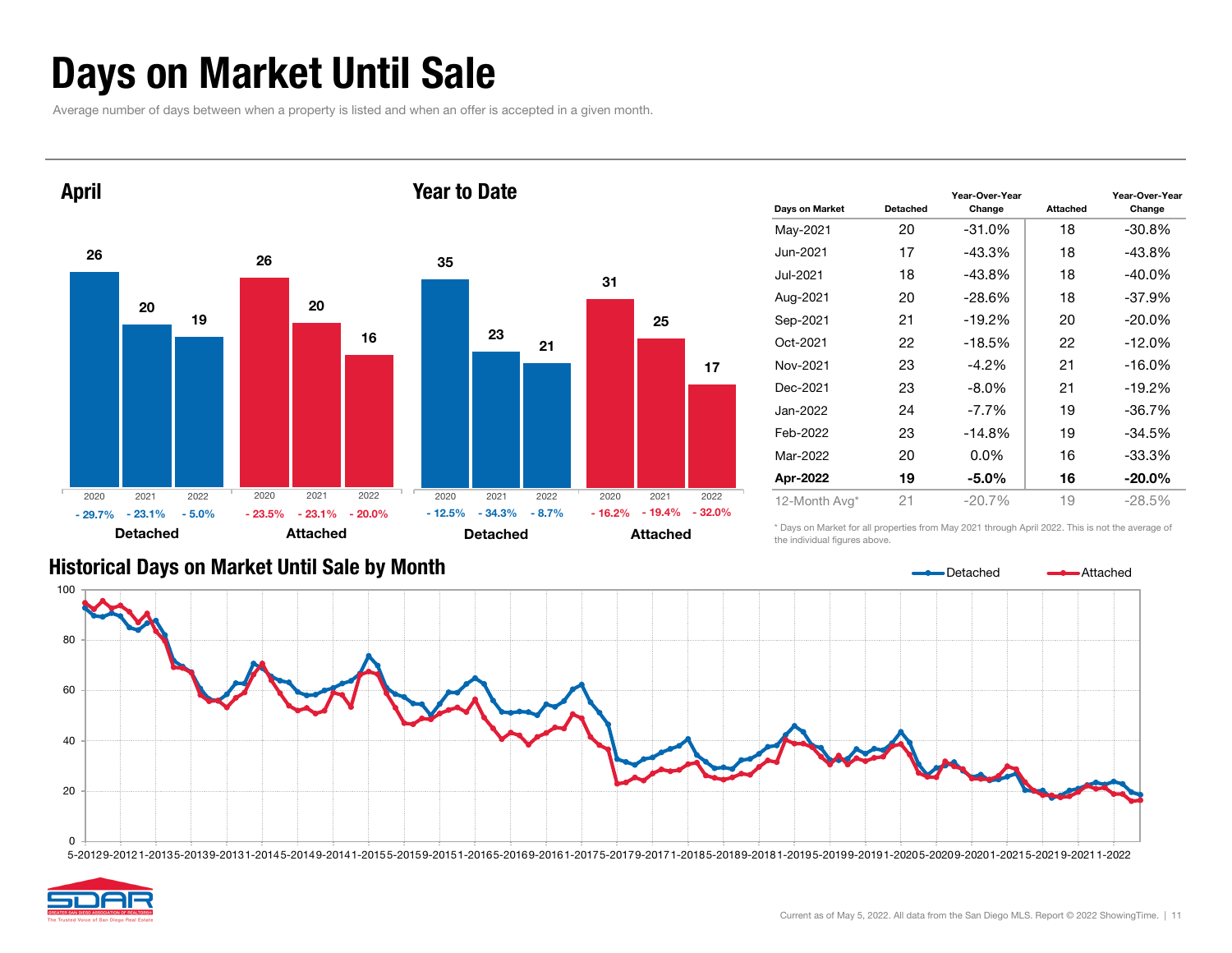### Days on Market Until Sale

Average number of days between when a property is listed and when an offer is accepted in a given month.



| Days on Market | Detached | Year-Over-Year<br>Change | <b>Attached</b> | Year-Over-Year<br>Change |
|----------------|----------|--------------------------|-----------------|--------------------------|
| May-2021       | 20       | -31.0%                   | 18              | $-30.8%$                 |
| Jun-2021       | 17       | -43.3%                   | 18              | $-43.8%$                 |
| Jul-2021       | 18       | -43.8%                   | 18              | $-40.0\%$                |
| Aug-2021       | 20       | -28.6%                   | 18              | $-37.9%$                 |
| Sep-2021       | 21       | $-19.2\%$                | 20              | $-20.0\%$                |
| Oct-2021       | 22       | -18.5%                   | 22              | $-12.0%$                 |
| Nov-2021       | 23       | $-4.2\%$                 | 21              | $-16.0%$                 |
| Dec-2021       | 23       | $-8.0\%$                 | 21              | $-19.2%$                 |
| Jan-2022       | 24       | $-7.7\%$                 | 19              | $-36.7%$                 |
| Feb-2022       | 23       | $-14.8%$                 | 19              | -34.5%                   |
| Mar-2022       | 20       | $0.0\%$                  | 16              | $-33.3%$                 |
| Apr-2022       | 19       | $-5.0\%$                 | 16              | $-20.0\%$                |
| 12-Month Avg*  | 21       | $-20.7%$                 | 19              | $-28.5%$                 |

#### Historical Days on Market Until Sale by Month

\* Days on Market for all properties from May 2021 through April 2022. This is not the average of the individual figures above.



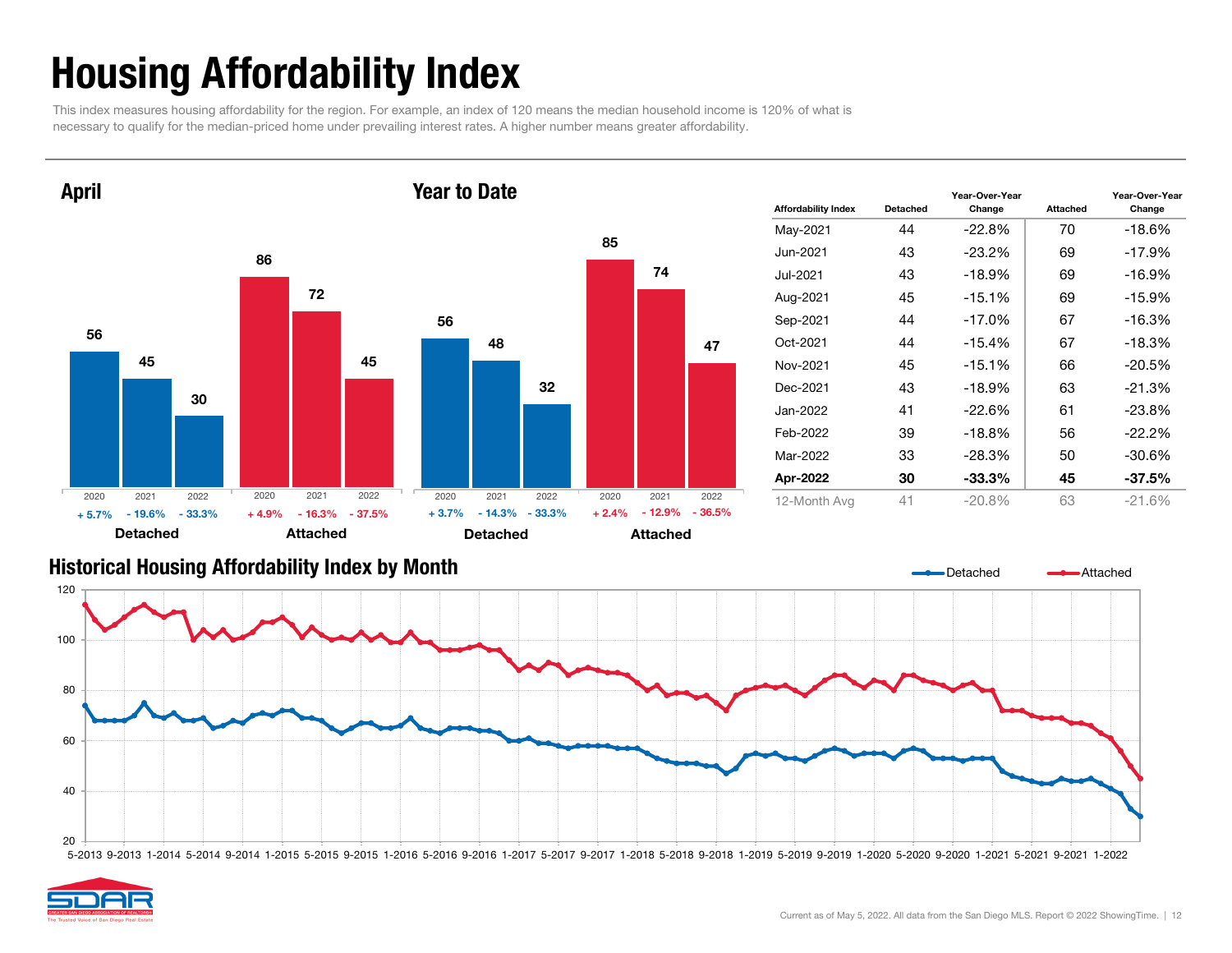## Housing Affordability Index

This index measures housing affordability for the region. For example, an index of 120 means the median household income is 120% of what is necessary to qualify for the median-priced home under prevailing interest rates. A higher number means greater affordability.



| <b>Affordability Index</b> | Detached | Year-Over-Year<br>Change | Attached | Year-Over-Year<br>Change |
|----------------------------|----------|--------------------------|----------|--------------------------|
| May-2021                   | 44       | $-22.8%$                 | 70       | -18.6%                   |
| Jun-2021                   | 43       | $-23.2\%$                | 69       | $-17.9%$                 |
| Jul-2021                   | 43       | $-18.9\%$                | 69       | $-16.9\%$                |
| Aug-2021                   | 45       | $-15.1%$                 | 69       | $-15.9%$                 |
| Sep-2021                   | 44       | $-17.0\%$                | 67       | $-16.3\%$                |
| Oct-2021                   | 44       | $-15.4%$                 | 67       | $-18.3%$                 |
| Nov-2021                   | 45       | $-15.1\%$                | 66       | $-20.5%$                 |
| Dec-2021                   | 43       | $-18.9%$                 | 63       | $-21.3%$                 |
| Jan-2022                   | 41       | $-22.6%$                 | 61       | $-23.8%$                 |
| Feb-2022                   | 39       | $-18.8\%$                | 56       | $-22.2%$                 |
| Mar-2022                   | 33       | $-28.3%$                 | 50       | $-30.6%$                 |
| Apr-2022                   | 30       | -33.3%                   | 45       | $-37.5%$                 |
| 12-Month Avg               | 41       | $-20.8%$                 | 63       | $-21.6%$                 |

#### Historical Housing Affordability Index by Mont h

![](_page_11_Figure_5.jpeg)

![](_page_11_Picture_6.jpeg)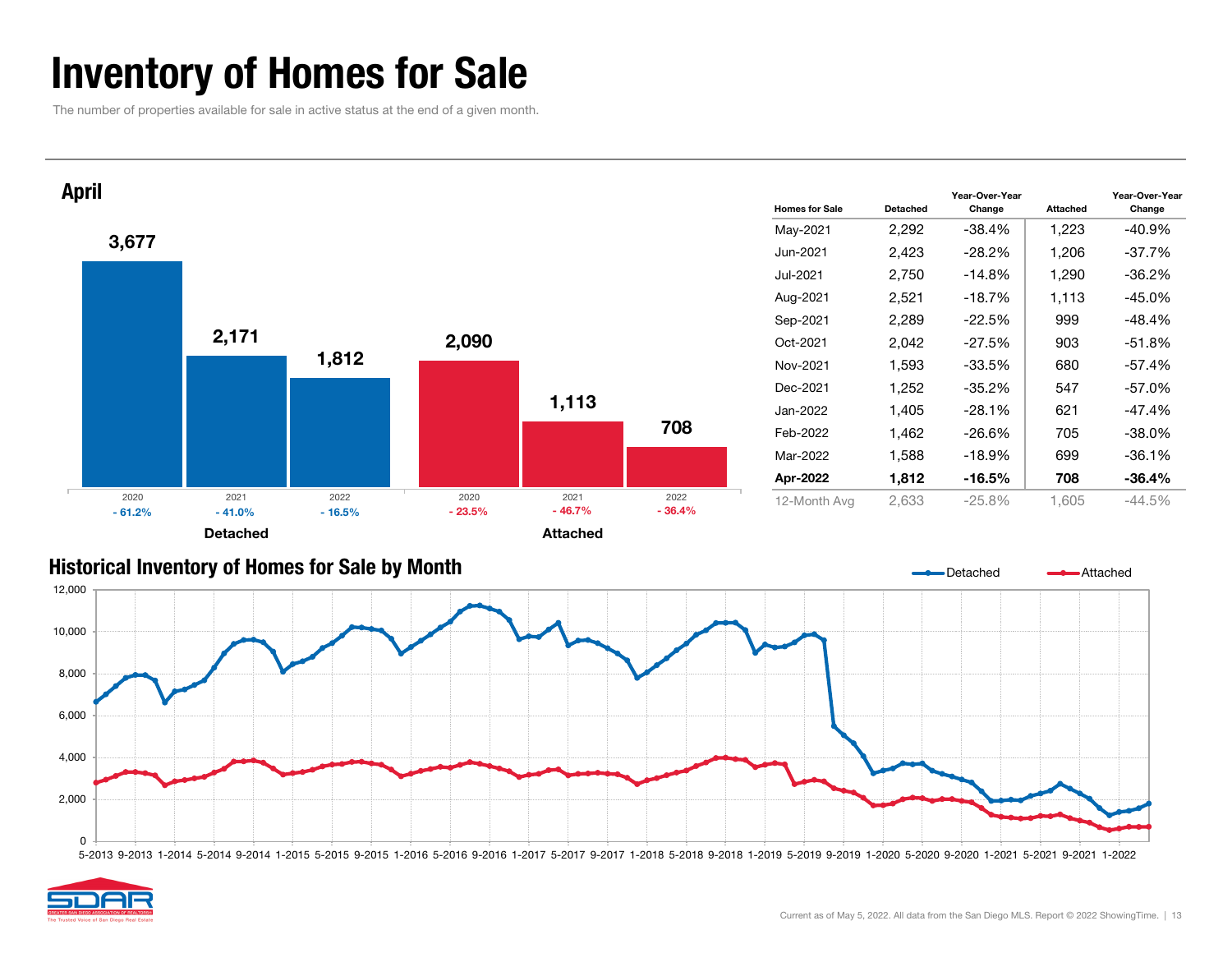### Inventory of Homes for Sale

The number of properties available for sale in active status at the end of a given month.

![](_page_12_Figure_2.jpeg)

![](_page_12_Figure_3.jpeg)

![](_page_12_Figure_4.jpeg)

![](_page_12_Picture_5.jpeg)

Change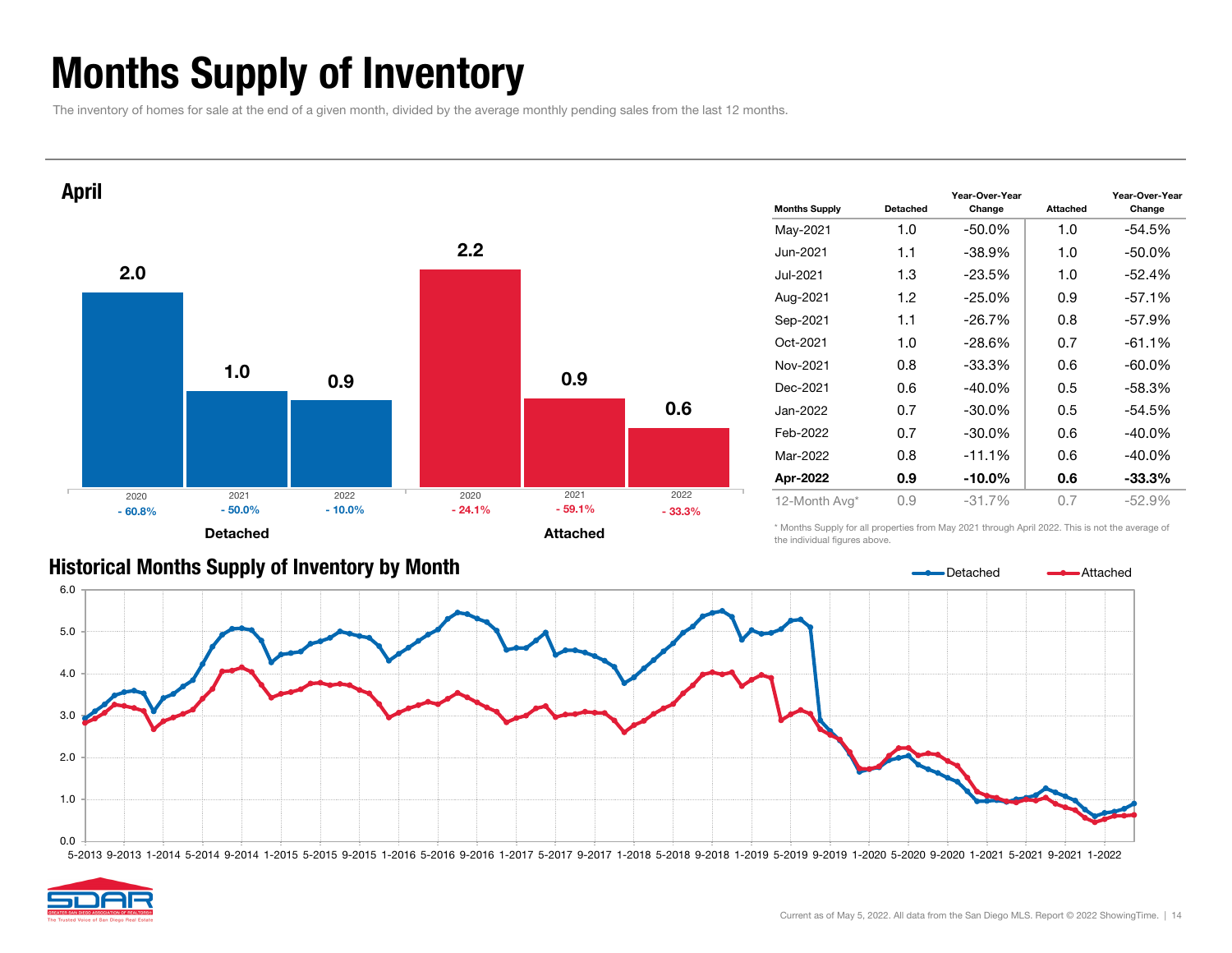### Months Supply of Inventory

The inventory of homes for sale at the end of a given month, divided by the average monthly pending sales from the last 12 months.

![](_page_13_Figure_2.jpeg)

| <b>Months Supply</b> | Detached | Year-Over-Year<br>Change | Year-Over-Year<br>Change |           |  |
|----------------------|----------|--------------------------|--------------------------|-----------|--|
| May-2021             | 1.0      | $-50.0%$                 | 1.0                      | $-54.5%$  |  |
| Jun-2021             | 1.1      | $-38.9%$                 | 1.0                      | $-50.0\%$ |  |
| Jul-2021             | 1.3      | $-23.5%$                 | 1.0                      | $-52.4%$  |  |
| Aug-2021             | 1.2      | $-25.0\%$                | 0.9                      | $-57.1%$  |  |
| Sep-2021             | 1.1      | $-26.7%$                 | 0.8                      | $-57.9%$  |  |
| Oct-2021             | 1.0      | $-28.6%$                 | 0.7                      | $-61.1%$  |  |
| Nov-2021             | 0.8      | $-33.3%$                 | 0.6                      | $-60.0\%$ |  |
| Dec-2021             | 0.6      | $-40.0\%$                | 0.5                      | $-58.3%$  |  |
| Jan-2022             | 0.7      | $-30.0\%$                | 0.5                      | -54.5%    |  |
| Feb-2022             | 0.7      | $-30.0\%$                | 0.6                      | $-40.0\%$ |  |
| Mar-2022             | 0.8      | $-11.1%$                 | 0.6                      | $-40.0\%$ |  |
| Apr-2022             | 0.9      | $-10.0\%$                | 0.6                      | $-33.3\%$ |  |
| 12-Month Avg*        | 0.9      | $-31.7%$                 | 0.7                      | $-52.9%$  |  |

#### Historical Months Supply of Inventory by Month

\* Months Supply for all properties from May 2021 through April 2022. This is not the average of the individual figures above.

![](_page_13_Figure_6.jpeg)

![](_page_13_Picture_7.jpeg)